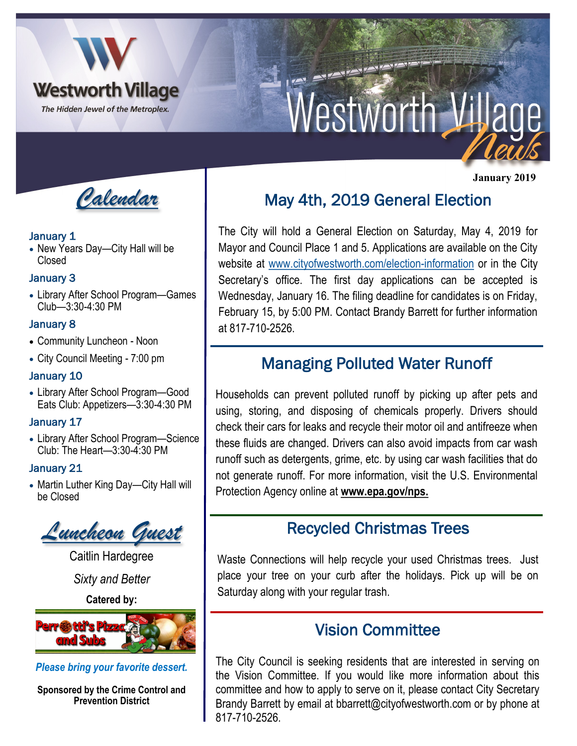

# Nestworth Village

*Calendar*

#### January 1

• New Years Day—City Hall will be Closed

### January 3

• Library After School Program—Games Club—3:30-4:30 PM

## January 8

- Community Luncheon Noon
- City Council Meeting 7:00 pm

#### January 10

• Library After School Program—Good Eats Club: Appetizers—3:30-4:30 PM

## January 17

• Library After School Program—Science Club: The Heart—3:30-4:30 PM

## January 21

• Martin Luther King Day—City Hall will be Closed



Caitlin Hardegree

*Sixty and Better*

**Catered by:** 



*Please bring your favorite dessert.* 

**Sponsored by the Crime Control and Prevention District**

## May 4th, 2019 General Election

The City will hold a General Election on Saturday, May 4, 2019 for Mayor and Council Place 1 and 5. Applications are available on the City website at [www.cityofwestworth.com/election-information](http://www.cityofwestworth.com/election-information) or in the City Secretary's office. The first day applications can be accepted is Wednesday, January 16. The filing deadline for candidates is on Friday, February 15, by 5:00 PM. Contact Brandy Barrett for further information at 817-710-2526.

## Managing Polluted Water Runoff

Households can prevent polluted runoff by picking up after pets and using, storing, and disposing of chemicals properly. Drivers should check their cars for leaks and recycle their motor oil and antifreeze when these fluids are changed. Drivers can also avoid impacts from car wash runoff such as detergents, grime, etc. by using car wash facilities that do not generate runoff. For more information, visit the U.S. Environmental Protection Agency online at **www.epa.gov/nps.**

## Recycled Christmas Trees

Waste Connections will help recycle your used Christmas trees. Just place your tree on your curb after the holidays. Pick up will be on Saturday along with your regular trash.

## Vision Committee

The City Council is seeking residents that are interested in serving on the Vision Committee. If you would like more information about this committee and how to apply to serve on it, please contact City Secretary Brandy Barrett by email at bbarrett@cityofwestworth.com or by phone at 817-710-2526.

 **January 2019**